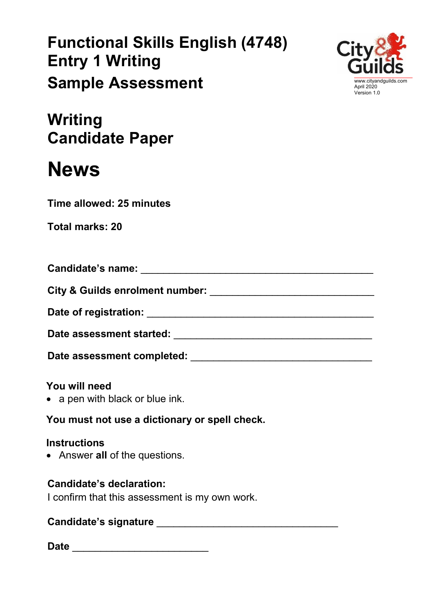# **Functional Skills English (4748) Entry 1 Writing Sample Assessment**



**Writing Candidate Paper**

# **News**

**Time allowed: 25 minutes**

| Candidate's name:                          |  |
|--------------------------------------------|--|
| <b>City &amp; Guilds enrolment number:</b> |  |

**Date of registration:** \_\_\_\_\_\_\_\_\_\_\_\_\_\_\_\_\_\_\_\_\_\_\_\_\_\_\_\_\_\_\_\_\_\_\_\_\_\_\_\_

**Date assessment started:** \_\_\_\_\_\_\_\_\_\_\_\_\_\_\_\_\_\_\_\_\_\_\_\_\_\_\_\_\_\_\_\_\_\_\_

Date assessment completed: **We are allowed:**  $\blacksquare$ 

# **You will need**

• a pen with black or blue ink.

**You must not use a dictionary or spell check.**

#### **Instructions**

• Answer **all** of the questions.

# **Candidate's declaration:**

I confirm that this assessment is my own work.

# **Candidate's signature** \_\_\_\_\_\_\_\_\_\_\_\_\_\_\_\_\_\_\_\_\_\_\_\_\_\_\_\_\_\_\_\_

**Date** \_\_\_\_\_\_\_\_\_\_\_\_\_\_\_\_\_\_\_\_\_\_\_\_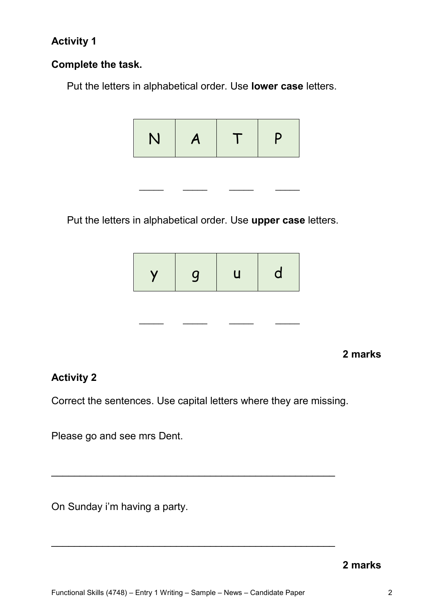#### **Activity 1**

#### **Complete the task.**

Put the letters in alphabetical order. Use **lower case** letters.



 $\frac{1}{2}$  ,  $\frac{1}{2}$  ,  $\frac{1}{2}$  ,  $\frac{1}{2}$  ,  $\frac{1}{2}$  ,  $\frac{1}{2}$  ,  $\frac{1}{2}$ 

Put the letters in alphabetical order. Use **upper case** letters.



**2 marks**

#### **Activity 2**

Correct the sentences. Use capital letters where they are missing.

\_\_\_\_\_\_\_\_\_\_\_\_\_\_\_\_\_\_\_\_\_\_\_\_\_\_\_\_\_\_\_\_\_\_\_\_\_\_\_\_\_\_\_\_\_\_\_\_\_\_

\_\_\_\_\_\_\_\_\_\_\_\_\_\_\_\_\_\_\_\_\_\_\_\_\_\_\_\_\_\_\_\_\_\_\_\_\_\_\_\_\_\_\_\_\_\_\_\_\_\_

Please go and see mrs Dent.

On Sunday i'm having a party.

**2 marks**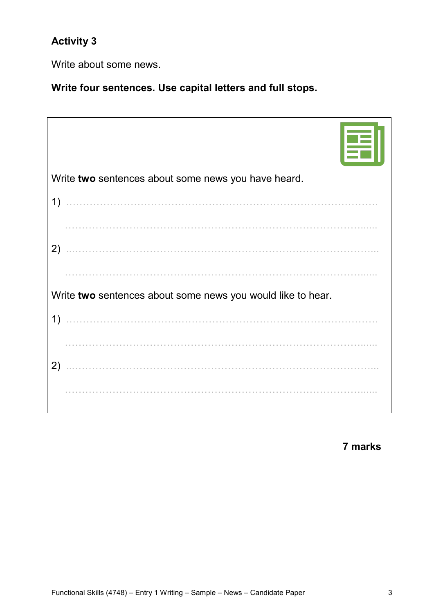# **Activity 3**

Write about some news.

**Write four sentences. Use capital letters and full stops.**

| Write two sentences about some news you have heard.         |  |
|-------------------------------------------------------------|--|
|                                                             |  |
|                                                             |  |
| 2)                                                          |  |
|                                                             |  |
| Write two sentences about some news you would like to hear. |  |
| 1)                                                          |  |
|                                                             |  |
| 2)                                                          |  |
|                                                             |  |

**7 marks**